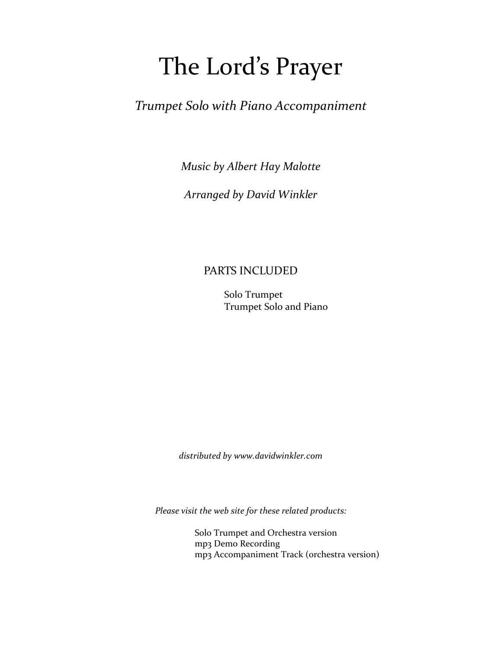## The Lord's Prayer

*Trumpet Solo with Piano Accompaniment*

*Music by Albert Hay Malotte*

*Arranged by David Winkler*

#### PARTS INCLUDED

 Solo Trumpet Trumpet Solo and Piano

*distributed by www.davidwinkler.com*

*Please visit the web site for these related products:*

 Solo Trumpet and Orchestra version mp3 Demo Recording mp3 Accompaniment Track (orchestra version)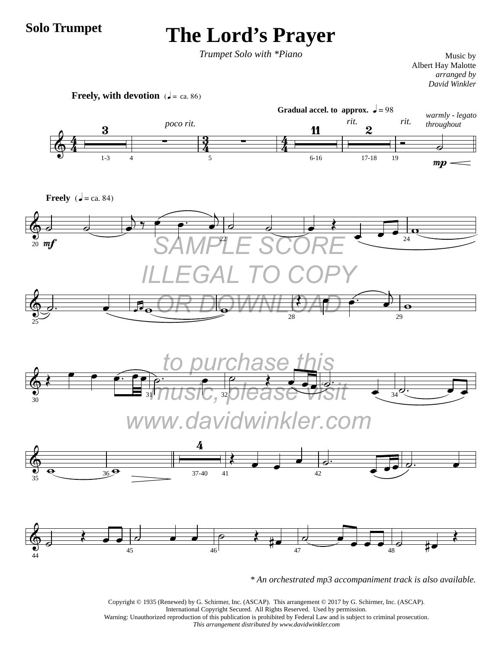#### **Solo Trumpet**

### **The Lord's Prayer**

*Trumpet Solo with \*Piano*

Music by Albert Hay Malotte *arranged by David Winkler*



*\* An orchestrated mp3 accompaniment track is also available.*

Copyright © 1935 (Renewed) by G. Schirmer, Inc. (ASCAP). This arrangement © 2017 by G. Schirmer, Inc. (ASCAP). International Copyright Secured. All Rights Reserved. Used by permission. Warning: Unauthorized reproduction of this publication is prohibited by Federal Law and is subject to criminal prosecution. *This arrangement distributed by www.davidwinkler.com*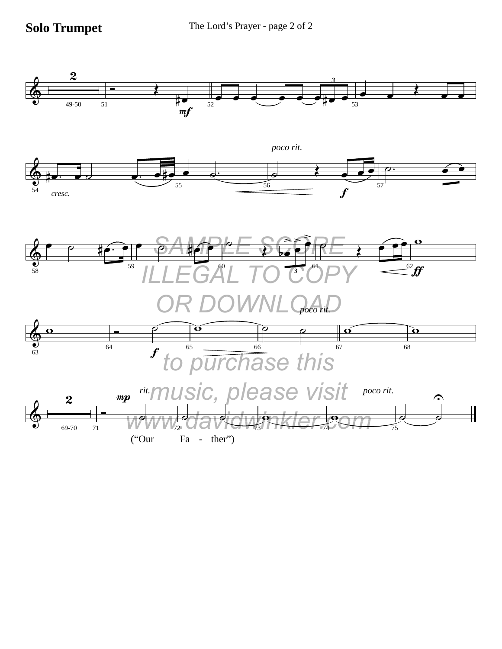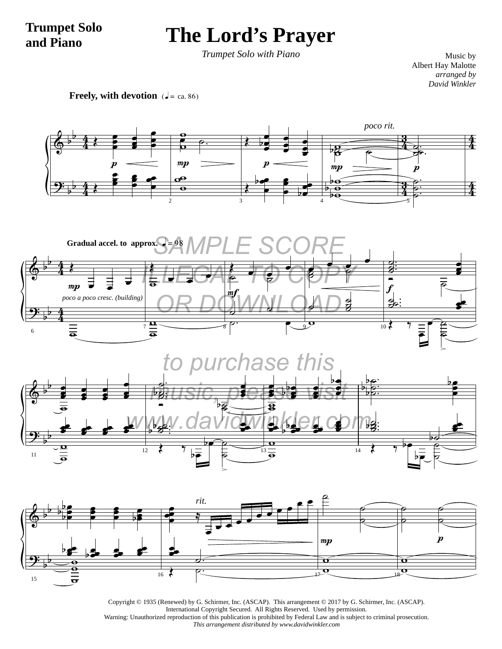#### **Trumpet Solo and Piano**

## **The Lord's Prayer**

*Trumpet Solo with Piano*

Music by Albert Hay Malotte *arranged by David Winkler*

**Freely, with devotion**  $\mathbf{z} = \text{ca. 86}$ 





Copyright © 1935 (Renewed) by G. Schirmer, Inc. (ASCAP). This arrangement © 2017 by G. Schirmer, Inc. (ASCAP). International Copyright Secured. All Rights Reserved. Used by permission. Warning: Unauthorized reproduction of this publication is prohibited by Federal Law and is subject to criminal prosecution. *This arrangement distributed by www.davidwinkler.com*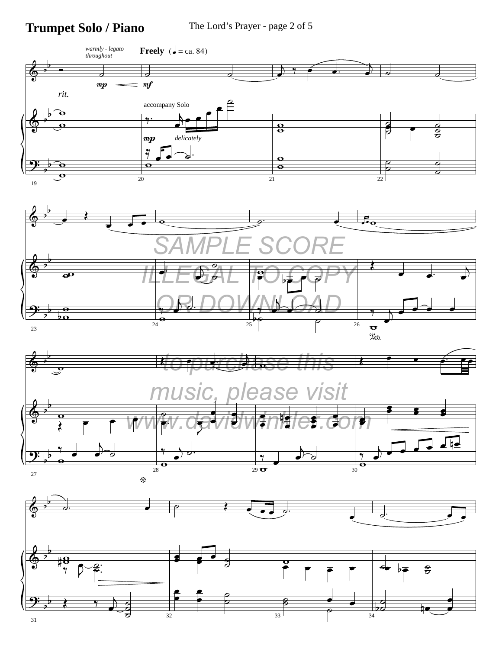### **Trumpet Solo / Piano** The Lord's Prayer - page 2 of 5

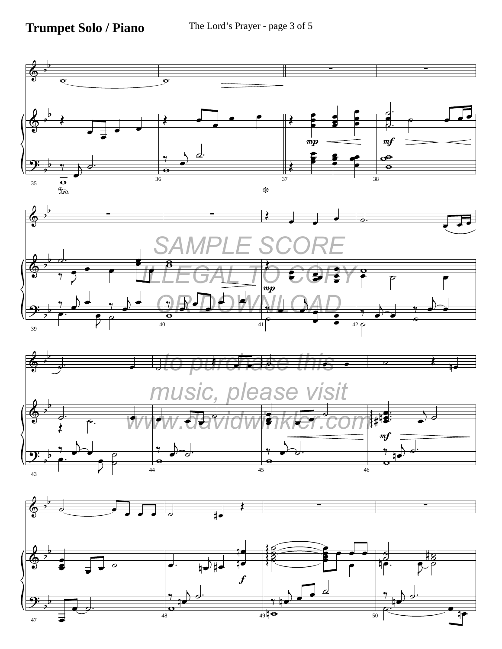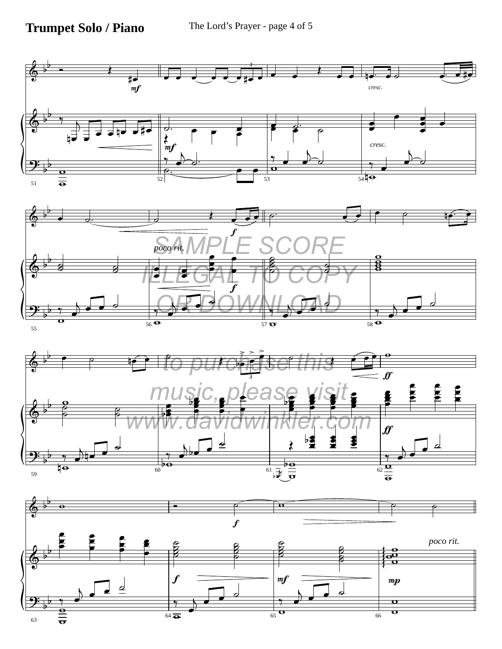